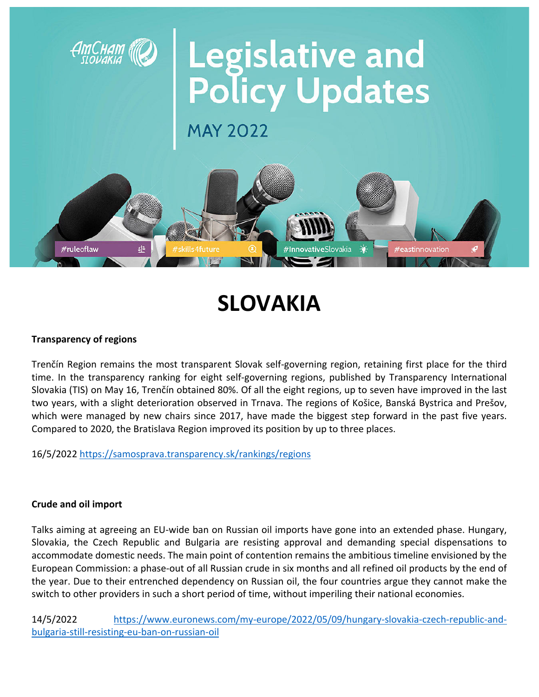

# **SLOVAKIA**

## **Transparency of regions**

Trenčín Region remains the most transparent Slovak self‐governing region, retaining first place for the third time. In the transparency ranking for eight self‐governing regions, published by Transparency International Slovakia (TIS) on May 16, Trenčín obtained 80%. Of all the eight regions, up to seven have improved in the last two years, with a slight deterioration observed in Trnava. The regions of Košice, Banská Bystrica and Prešov, which were managed by new chairs since 2017, have made the biggest step forward in the past five years. Compared to 2020, the Bratislava Region improved its position by up to three places.

16/5/2022 https://samosprava.transparency.sk/rankings/regions

#### **Crude and oil import**

Talks aiming at agreeing an EU‐wide ban on Russian oil imports have gone into an extended phase. Hungary, Slovakia, the Czech Republic and Bulgaria are resisting approval and demanding special dispensations to accommodate domestic needs. The main point of contention remains the ambitious timeline envisioned by the European Commission: a phase‐out of all Russian crude in six months and all refined oil products by the end of the year. Due to their entrenched dependency on Russian oil, the four countries argue they cannot make the switch to other providers in such a short period of time, without imperiling their national economies.

14/5/2022 https://www.euronews.com/my‐europe/2022/05/09/hungary‐slovakia‐czech‐republic‐and‐ bulgaria‐still‐resisting‐eu‐ban‐on‐russian‐oil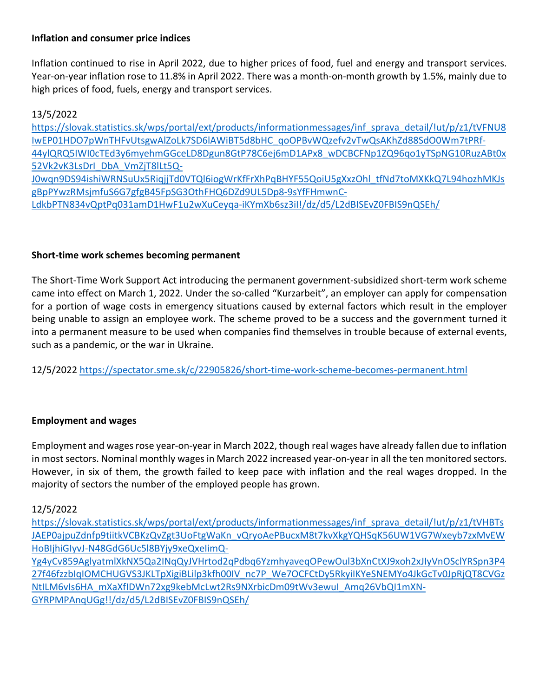## **Inflation and consumer price indices**

Inflation continued to rise in April 2022, due to higher prices of food, fuel and energy and transport services. Year‐on‐year inflation rose to 11.8% in April 2022. There was a month‐on‐month growth by 1.5%, mainly due to high prices of food, fuels, energy and transport services.

13/5/2022

| https://slovak.statistics.sk/wps/portal/ext/products/informationmessages/inf sprava detail/!ut/p/z1/tVFNU8 |
|------------------------------------------------------------------------------------------------------------|
| IwEP01HDO7pWnTHFvUtsgwAlZoLk7SD6lAWiBT5d8bHC_qoOPBvWQzefv2vTwQsAKhZd88SdO0Wm7tPRf-                         |
| 44ylQRQ5IWl0cTEd3y6myehmGGceLD8Dgun8GtP78C6ej6mD1APx8 wDCBCFNp1ZQ96qo1yTSpNG10RuzABt0x                     |
| 52Vk2vK3LsDrl DbA VmZjT8lLt5Q-                                                                             |
| J0wqn9DS94ishiWRNSuUx5RiqjjTd0VTQl6iogWrKfFrXhPqBHYF55QoiU5gXxzOhl_tfNd7toMXKkQ7L94hozhMKJs                |
| gBpPYwzRMsjmfuS6G7gfgB45FpSG3OthFHQ6DZd9UL5Dp8-9sYfFHmwnC-                                                 |
| LdkbPTN834vQptPq031amD1HwF1u2wXuCeyqa-iKYmXb6sz3il!/dz/d5/L2dBISEvZ0FBIS9nQSEh/                            |

## **Short‐time work schemes becoming permanent**

The Short‐Time Work Support Act introducing the permanent government‐subsidized short‐term work scheme came into effect on March 1, 2022. Under the so-called "Kurzarbeit", an employer can apply for compensation for a portion of wage costs in emergency situations caused by external factors which result in the employer being unable to assign an employee work. The scheme proved to be a success and the government turned it into a permanent measure to be used when companies find themselves in trouble because of external events, such as a pandemic, or the war in Ukraine.

12/5/2022 https://spectator.sme.sk/c/22905826/short‐time‐work‐scheme‐becomes‐permanent.html

## **Employment and wages**

Employment and wagesrose year‐on‐year in March 2022, though real wages have already fallen due to inflation in most sectors. Nominal monthly wages in March 2022 increased year-on-year in all the ten monitored sectors. However, in six of them, the growth failed to keep pace with inflation and the real wages dropped. In the majority of sectors the number of the employed people has grown.

## 12/5/2022

https://slovak.statistics.sk/wps/portal/ext/products/informationmessages/inf\_sprava\_detail/!ut/p/z1/tVHBTs JAEP0ajpuZdnfp9tiitkVCBKzQvZgt3UoFtgWaKn\_vQryoAePBucxM8t7kvXkgYQHSqK56UW1VG7Wxeyb7zxMvEW HoBIjhiGIyvJ‐N48GdG6Uc5l8BYjy9xeQxeIimQ‐ Yg4yCv859AglyatmlXkNX5Qa2INqQyJVHrtod2qPdbq6YzmhyaveqOPewOul3bXnCtXJ9xoh2xJIyVnOSclYRSpn3P4 27f46fzzbIqIOMCHUGVS3JKLTpXigiBLilp3kfh00IV\_nc7P\_We7OCFCtDy5RkyiIKYeSNEMYo4JkGcTv0JpRjQT8CVGz NtILM6vIs6HA\_mXaXfIDWn72xg9kebMcLwt2Rs9NXrbicDm09tWv3ewuI\_Amq26VbQI1mXN‐ GYRPMPAnqUGg!!/dz/d5/L2dBISEvZ0FBIS9nQSEh/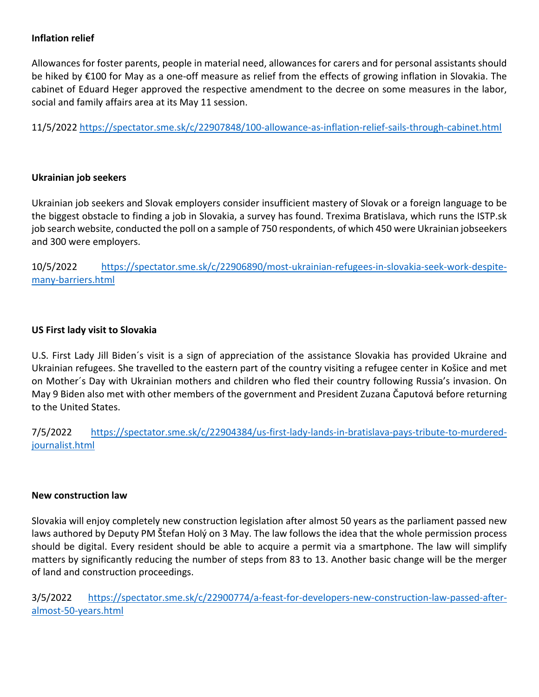## **Inflation relief**

Allowances for foster parents, people in material need, allowances for carers and for personal assistants should be hiked by €100 for May as a one‐off measure as relief from the effects of growing inflation in Slovakia. The cabinet of Eduard Heger approved the respective amendment to the decree on some measures in the labor, social and family affairs area at its May 11 session.

11/5/2022 https://spectator.sme.sk/c/22907848/100‐allowance‐as‐inflation‐relief‐sails‐through‐cabinet.html

#### **Ukrainian job seekers**

Ukrainian job seekers and Slovak employers consider insufficient mastery of Slovak or a foreign language to be the biggest obstacle to finding a job in Slovakia, a survey has found. Trexima Bratislava, which runs the ISTP.sk job search website, conducted the poll on a sample of 750 respondents, of which 450 were Ukrainian jobseekers and 300 were employers.

10/5/2022 https://spectator.sme.sk/c/22906890/most-ukrainian-refugees-in-slovakia-seek-work-despitemany‐barriers.html

## **US First lady visit to Slovakia**

U.S. First Lady Jill Biden´s visit is a sign of appreciation of the assistance Slovakia has provided Ukraine and Ukrainian refugees. She travelled to the eastern part of the country visiting a refugee center in Košice and met on Mother´s Day with Ukrainian mothers and children who fled their country following Russia's invasion. On May 9 Biden also met with other members of the government and President Zuzana Čaputová before returning to the United States.

7/5/2022 https://spectator.sme.sk/c/22904384/us‐first‐lady‐lands‐in‐bratislava‐pays‐tribute‐to‐murdered‐ journalist.html

#### **New construction law**

Slovakia will enjoy completely new construction legislation after almost 50 years as the parliament passed new laws authored by Deputy PM Štefan Holý on 3 May. The law follows the idea that the whole permission process should be digital. Every resident should be able to acquire a permit via a smartphone. The law will simplify matters by significantly reducing the number of steps from 83 to 13. Another basic change will be the merger of land and construction proceedings.

3/5/2022 https://spectator.sme.sk/c/22900774/a-feast-for-developers-new-construction-law-passed-afteralmost‐50‐years.html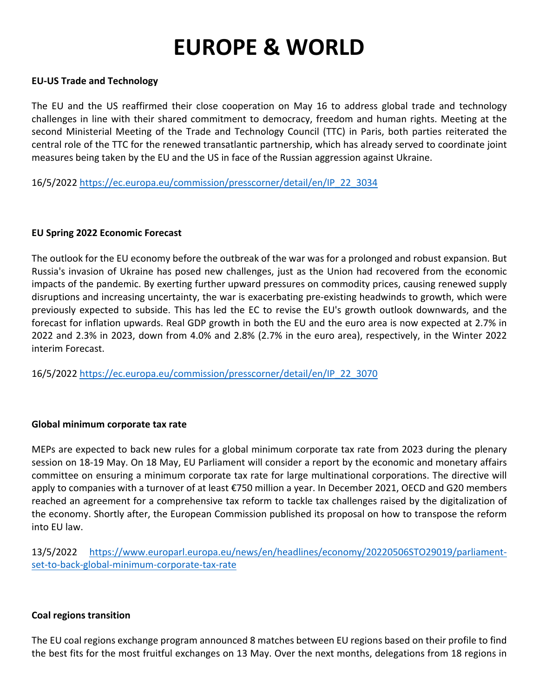# **EUROPE & WORLD**

#### **EU‐US Trade and Technology**

The EU and the US reaffirmed their close cooperation on May 16 to address global trade and technology challenges in line with their shared commitment to democracy, freedom and human rights. Meeting at the second Ministerial Meeting of the Trade and Technology Council (TTC) in Paris, both parties reiterated the central role of the TTC for the renewed transatlantic partnership, which has already served to coordinate joint measures being taken by the EU and the US in face of the Russian aggression against Ukraine.

16/5/2022 https://ec.europa.eu/commission/presscorner/detail/en/IP\_22\_3034

#### **EU Spring 2022 Economic Forecast**

The outlook for the EU economy before the outbreak of the war was for a prolonged and robust expansion. But Russia's invasion of Ukraine has posed new challenges, just as the Union had recovered from the economic impacts of the pandemic. By exerting further upward pressures on commodity prices, causing renewed supply disruptions and increasing uncertainty, the war is exacerbating pre‐existing headwinds to growth, which were previously expected to subside. This has led the EC to revise the EU's growth outlook downwards, and the forecast for inflation upwards. Real GDP growth in both the EU and the euro area is now expected at 2.7% in 2022 and 2.3% in 2023, down from 4.0% and 2.8% (2.7% in the euro area), respectively, in the Winter 2022 interim Forecast.

16/5/2022 https://ec.europa.eu/commission/presscorner/detail/en/IP\_22\_3070

#### **Global minimum corporate tax rate**

MEPs are expected to back new rules for a global minimum corporate tax rate from 2023 during the plenary session on 18‐19 May. On 18 May, EU Parliament will consider a report by the economic and monetary affairs committee on ensuring a minimum corporate tax rate for large multinational corporations. The directive will apply to companies with a turnover of at least €750 million a year. In December 2021, OECD and G20 members reached an agreement for a comprehensive tax reform to tackle tax challenges raised by the digitalization of the economy. Shortly after, the European Commission published its proposal on how to transpose the reform into EU law.

13/5/2022 https://www.europarl.europa.eu/news/en/headlines/economy/20220506STO29019/parliament‐ set-to-back-global-minimum-corporate-tax-rate

#### **Coal regions transition**

The EU coal regions exchange program announced 8 matches between EU regions based on their profile to find the best fits for the most fruitful exchanges on 13 May. Over the next months, delegations from 18 regions in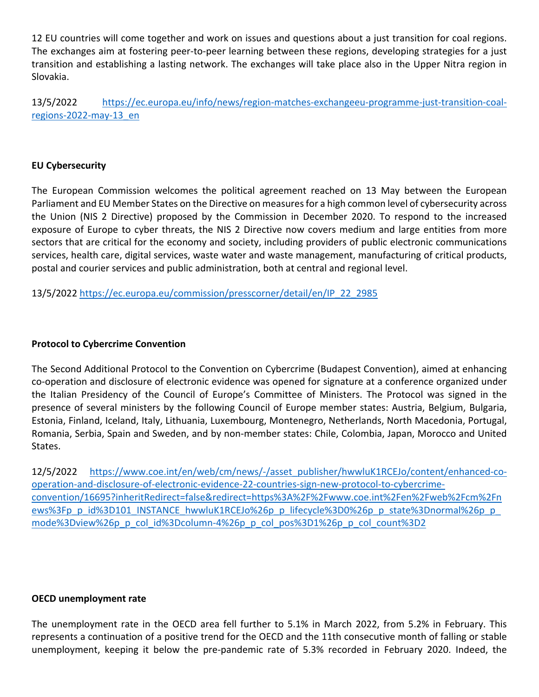12 EU countries will come together and work on issues and questions about a just transition for coal regions. The exchanges aim at fostering peer-to-peer learning between these regions, developing strategies for a just transition and establishing a lasting network. The exchanges will take place also in the Upper Nitra region in Slovakia.

13/5/2022 https://ec.europa.eu/info/news/region-matches-exchangeeu-programme-just-transition-coalregions‐2022‐may‐13\_en

## **EU Cybersecurity**

The European Commission welcomes the political agreement reached on 13 May between the European Parliament and EU Member States on the Directive on measures for a high common level of cybersecurity across the Union (NIS 2 Directive) proposed by the Commission in December 2020. To respond to the increased exposure of Europe to cyber threats, the NIS 2 Directive now covers medium and large entities from more sectors that are critical for the economy and society, including providers of public electronic communications services, health care, digital services, waste water and waste management, manufacturing of critical products, postal and courier services and public administration, both at central and regional level.

13/5/2022 https://ec.europa.eu/commission/presscorner/detail/en/IP\_22\_2985

#### **Protocol to Cybercrime Convention**

The Second Additional Protocol to the Convention on Cybercrime (Budapest Convention), aimed at enhancing co‐operation and disclosure of electronic evidence was opened for signature at a conference organized under the Italian Presidency of the Council of Europe's Committee of Ministers. The Protocol was signed in the presence of several ministers by the following Council of Europe member states: Austria, Belgium, Bulgaria, Estonia, Finland, Iceland, Italy, Lithuania, Luxembourg, Montenegro, Netherlands, North Macedonia, Portugal, Romania, Serbia, Spain and Sweden, and by non‐member states: Chile, Colombia, Japan, Morocco and United States.

12/5/2022 https://www.coe.int/en/web/cm/news/‐/asset\_publisher/hwwluK1RCEJo/content/enhanced‐co‐ operation‐and‐disclosure‐of‐electronic‐evidence‐22‐countries‐sign‐new‐protocol‐to‐cybercrime‐ convention/16695?inheritRedirect=false&redirect=https%3A%2F%2Fwww.coe.int%2Fen%2Fweb%2Fcm%2Fn ews%3Fp\_p\_id%3D101\_INSTANCE\_hwwluK1RCEJo%26p\_p\_lifecycle%3D0%26p\_p\_state%3Dnormal%26p\_p mode%3Dview%26p\_p\_col\_id%3Dcolumn-4%26p\_p\_col\_pos%3D1%26p\_p\_col\_count%3D2

#### **OECD unemployment rate**

The unemployment rate in the OECD area fell further to 5.1% in March 2022, from 5.2% in February. This represents a continuation of a positive trend for the OECD and the 11th consecutive month of falling or stable unemployment, keeping it below the pre‐pandemic rate of 5.3% recorded in February 2020. Indeed, the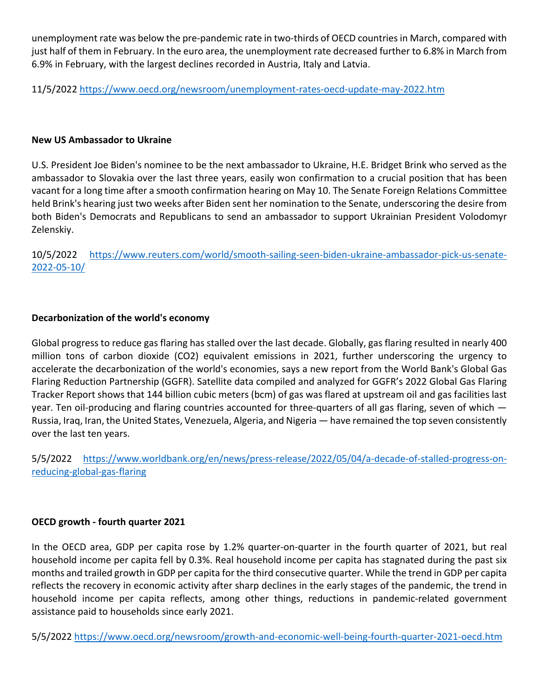unemployment rate was below the pre-pandemic rate in two-thirds of OECD countries in March, compared with just half of them in February. In the euro area, the unemployment rate decreased further to 6.8% in March from 6.9% in February, with the largest declines recorded in Austria, Italy and Latvia.

11/5/2022 https://www.oecd.org/newsroom/unemployment‐rates‐oecd‐update‐may‐2022.htm

#### **New US Ambassador to Ukraine**

U.S. President Joe Biden's nominee to be the next ambassador to Ukraine, H.E. Bridget Brink who served as the ambassador to Slovakia over the last three years, easily won confirmation to a crucial position that has been vacant for a long time after a smooth confirmation hearing on May 10. The Senate Foreign Relations Committee held Brink's hearing just two weeks after Biden sent her nomination to the Senate, underscoring the desire from both Biden's Democrats and Republicans to send an ambassador to support Ukrainian President Volodomyr Zelenskiy.

10/5/2022 https://www.reuters.com/world/smooth‐sailing‐seen‐biden‐ukraine‐ambassador‐pick‐us‐senate‐ 2022‐05‐10/

## **Decarbonization of the world's economy**

Global progress to reduce gas flaring has stalled over the last decade. Globally, gas flaring resulted in nearly 400 million tons of carbon dioxide (CO2) equivalent emissions in 2021, further underscoring the urgency to accelerate the decarbonization of the world's economies, says a new report from the World Bank's Global Gas Flaring Reduction Partnership (GGFR). Satellite data compiled and analyzed for GGFR's 2022 Global Gas Flaring Tracker Report shows that 144 billion cubic meters (bcm) of gas was flared at upstream oil and gas facilities last year. Ten oil-producing and flaring countries accounted for three-quarters of all gas flaring, seven of which — Russia, Iraq, Iran, the United States, Venezuela, Algeria, and Nigeria — have remained the top seven consistently over the last ten years.

5/5/2022 https://www.worldbank.org/en/news/press‐release/2022/05/04/a‐decade‐of‐stalled‐progress‐on‐ reducing‐global‐gas‐flaring

## **OECD growth ‐ fourth quarter 2021**

In the OECD area, GDP per capita rose by 1.2% quarter-on-quarter in the fourth quarter of 2021, but real household income per capita fell by 0.3%. Real household income per capita has stagnated during the past six months and trailed growth in GDP per capita for the third consecutive quarter. While the trend in GDP per capita reflects the recovery in economic activity after sharp declines in the early stages of the pandemic, the trend in household income per capita reflects, among other things, reductions in pandemic-related government assistance paid to households since early 2021.

5/5/2022 https://www.oecd.org/newsroom/growth‐and‐economic‐well‐being‐fourth‐quarter‐2021‐oecd.htm